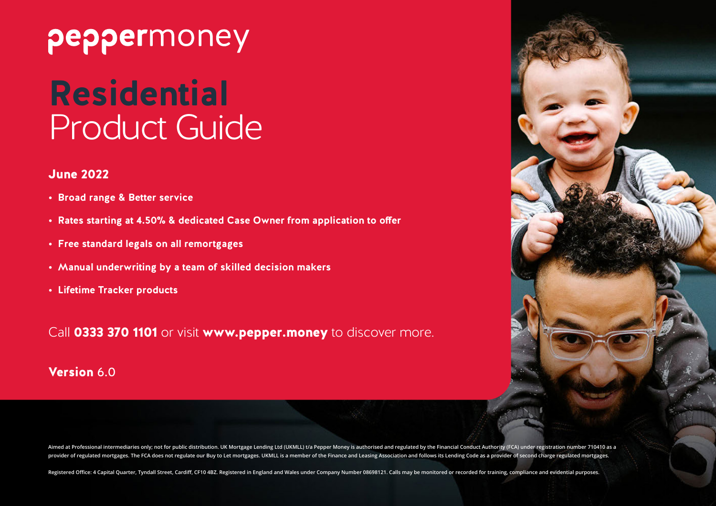# peppermoney

# **Residential** Product Guide

#### June 2022

- **• Broad range & Better service**
- **• Rates starting at 4.50% & dedicated Case Owner from application to offer**
- **• Free standard legals on all remortgages**
- **• Manual underwriting by a team of skilled decision makers**
- **• Lifetime Tracker products**

Call 0333 370 1101 or visit www.pepper.money to discover more.

#### Version 6.0



Aimed at Professional intermediaries only; not for public distribution. UK Mortgage Lending Ltd (UKMLL) t/a Pepper Money is authorised and regulated by the Financial Conduct Authority (FCA) under registration number 710410 provider of regulated mortgages. The FCA does not regulate our Buy to Let mortgages. UKMLL is a member of the Finance and Leasing Association and follows its Lending Code as a provider of second charge regulated mortgages.

Registered Office: 4 Capital Quarter, Tyndall Street, Cardiff, CF10 4BZ. Registered in England and Wales under Company Number 08698121. Calls may be monitored or recorded for training, compliance and evidential purposes.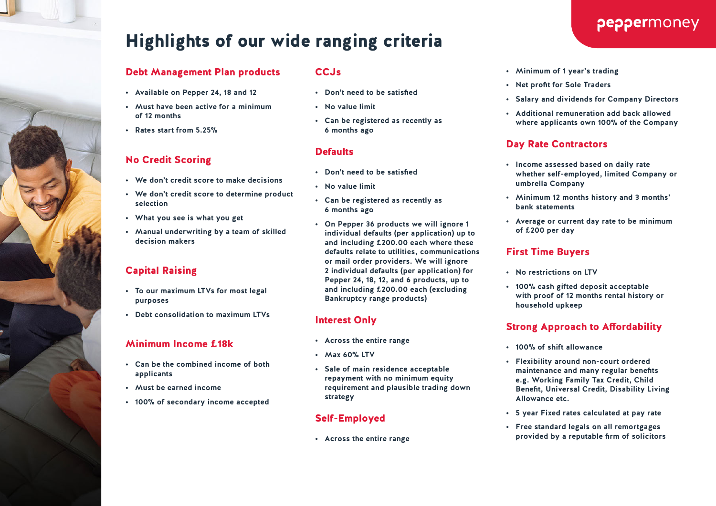# Highlights of our wide ranging criteria

#### Debt Management Plan products

- **• Available on Pepper 24, 18 and 12**
- **• Must have been active for a minimum of 12 months**
- **• Rates start from 5.25%**

#### No Credit Scoring

- **• We don't credit score to make decisions**
- **• We don't credit score to determine product selection**
- **• What you see is what you get**
- **• Manual underwriting by a team of skilled decision makers**

#### Capital Raising

- **• To our maximum LTVs for most legal purposes**
- **• Debt consolidation to maximum LTVs**

#### Minimum Income £18k

- **• Can be the combined income of both applicants**
- **• Must be earned income**
- **• 100% of secondary income accepted**

#### **CCJs**

- **• Don't need to be satisfied**
- **• No value limit**
- **• Can be registered as recently as 6 months ago**

#### **Defaults**

- **• Don't need to be satisfied**
- **• No value limit**
- **• Can be registered as recently as 6 months ago**
- **• On Pepper 36 products we will ignore 1 individual defaults (per application) up to and including £200.00 each where these defaults relate to utilities, communications or mail order providers. We will ignore 2 individual defaults (per application) for Pepper 24, 18, 12, and 6 products, up to and including £200.00 each (excluding Bankruptcy range products)**

#### Interest Only

- **• Across the entire range**
- **• Max 60% LTV**
- **• Sale of main residence acceptable repayment with no minimum equity requirement and plausible trading down strategy**

#### Self-Employed

**• Across the entire range**

#### **• Minimum of 1 year's trading**

- **• Net profit for Sole Traders**
- **• Salary and dividends for Company Directors**
- **• Additional remuneration add back allowed where applicants own 100% of the Company**

#### Day Rate Contractors

- **• Income assessed based on daily rate whether self-employed, limited Company or umbrella Company**
- **• Minimum 12 months history and 3 months' bank statements**
- **• Average or current day rate to be minimum of £200 per day**

#### First Time Buyers

- **• No restrictions on LTV**
- **• 100% cash gifted deposit acceptable with proof of 12 months rental history or household upkeep**

#### Strong Approach to Affordability

- **• 100% of shift allowance**
- **• Flexibility around non-court ordered maintenance and many regular benefits e.g. Working Family Tax Credit, Child Benefit, Universal Credit, Disability Living Allowance etc.**
- **• 5 year Fixed rates calculated at pay rate**
- **• Free standard legals on all remortgages provided by a reputable firm of solicitors**

#### peppermoney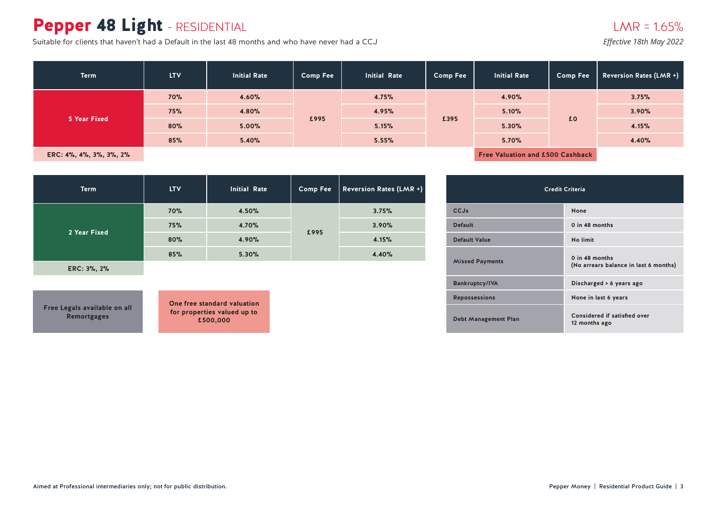### Pepper 48 Light - RESIDENTIAL

Suitable for clients that haven't had a Default in the last 48 months and who have never had a CCJ

#### $LMR = 1.65%$

*Effective 18th May 2022*

| <b>Term</b>             | <b>LTV</b> | <b>Initial Rate</b> | <b>Comp Fee</b> | <b>Initial Rate</b> | <b>Comp Fee</b> | <b>Initial Rate</b> | <b>Comp Fee</b>                         | Reversion Rates (LMR +) |
|-------------------------|------------|---------------------|-----------------|---------------------|-----------------|---------------------|-----------------------------------------|-------------------------|
|                         | 70%        | 4.60%               | £995            | 4.75%               |                 | 4.90%               | £0                                      | 3.75%                   |
| 5 Year Fixed            | 75%        | 4.80%               |                 | 4.95%               | £395            | 5.10%               |                                         | 3.90%                   |
|                         | 80%        | 5.00%               |                 | 5.15%               |                 | 5.30%               |                                         | 4.15%                   |
|                         | 85%        | 5.40%               |                 | 5.55%               |                 | 5.70%               |                                         | 4.40%                   |
| ERC: 4%, 4%, 3%, 3%, 2% |            |                     |                 |                     |                 |                     | <b>Free Valuation and £500 Cashback</b> |                         |

| <b>Term</b>  | <b>LTV</b> | <b>Initial Rate</b> | <b>Comp Fee</b> | <b>Reversion Rates (LMR +)</b> |
|--------------|------------|---------------------|-----------------|--------------------------------|
| 2 Year Fixed | 70%        | 4.50%               |                 | 3.75%                          |
|              | 75%        | 4.70%               |                 | 3.90%                          |
|              | 80%        | 4.90%               | £995            | 4.15%                          |
|              | 85%        | 5.30%               |                 | 4.40%                          |

**ERC: 3%, 2%**

**Free Legals available on all Remortgages**

| <b>Credit Criteria</b>      |                                                         |  |  |  |  |  |  |
|-----------------------------|---------------------------------------------------------|--|--|--|--|--|--|
| CCJs                        | None                                                    |  |  |  |  |  |  |
| <b>Default</b>              | 0 in 48 months                                          |  |  |  |  |  |  |
| <b>Default Value</b>        | No limit                                                |  |  |  |  |  |  |
| <b>Missed Payments</b>      | 0 in 48 months<br>(No arrears balance in last 6 months) |  |  |  |  |  |  |
| <b>Bankruptcy/IVA</b>       | Discharged > 6 years ago                                |  |  |  |  |  |  |
| <b>Repossessions</b>        | None in last 6 years                                    |  |  |  |  |  |  |
| <b>Debt Management Plan</b> | Considered if satisfied over<br>12 months ago           |  |  |  |  |  |  |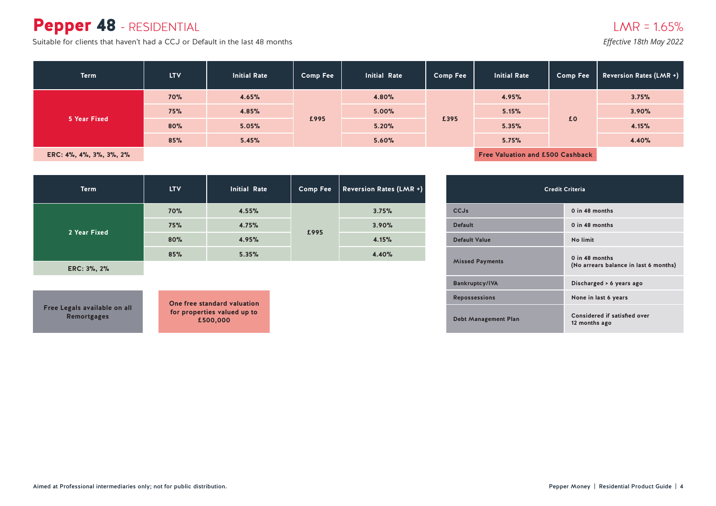#### Pepper 48 - RESIDENTIAL

Suitable for clients that haven't had a CCJ or Default in the last 48 months *Effective 18th May 2022* 

| <b>Term</b>             | <b>LTV</b> | <b>Initial Rate</b> | <b>Comp Fee</b> | <b>Initial Rate</b> | <b>Comp Fee</b> | <b>Initial Rate</b>                     | <b>Comp Fee</b> | <b>Reversion Rates (LMR +)</b> |
|-------------------------|------------|---------------------|-----------------|---------------------|-----------------|-----------------------------------------|-----------------|--------------------------------|
|                         | <b>70%</b> | 4.65%               | £995            | 4.80%               | £395            | 4.95%                                   | £0              | 3.75%                          |
| 5 Year Fixed            | 75%        | 4.85%               |                 | 5.00%               |                 | 5.15%                                   |                 | 3.90%                          |
|                         | 80%        | 5.05%               |                 | 5.20%               |                 | 5.35%                                   |                 | 4.15%                          |
|                         | 85%        | 5.45%               |                 | 5.60%               |                 | 5.75%                                   |                 | 4.40%                          |
| ERC: 4%, 4%, 3%, 3%, 2% |            |                     |                 |                     |                 | <b>Free Valuation and £500 Cashback</b> |                 |                                |

| <b>Term</b>  | <b>LTV</b> | <b>Initial Rate</b> | <b>Comp Fee</b> | Reversion Rates (LMR +) |
|--------------|------------|---------------------|-----------------|-------------------------|
| 2 Year Fixed | 70%        | 4.55%               |                 | 3.75%                   |
|              | 75%        | 4.75%               |                 | 3.90%                   |
|              | 80%        | 4.95%               | £995            | 4.15%                   |
|              | 85%        | 5.35%               |                 | 4.40%                   |

**ERC: 3%, 2%**

**Free Legals available on all Remortgages**

| <b>Credit Criteria</b>      |                                                         |  |  |  |  |  |  |
|-----------------------------|---------------------------------------------------------|--|--|--|--|--|--|
| <b>CCJs</b>                 | 0 in 48 months                                          |  |  |  |  |  |  |
| <b>Default</b>              | 0 in 48 months                                          |  |  |  |  |  |  |
| <b>Default Value</b>        | No limit                                                |  |  |  |  |  |  |
| <b>Missed Payments</b>      | 0 in 48 months<br>(No arrears balance in last 6 months) |  |  |  |  |  |  |
| <b>Bankruptcy/IVA</b>       | Discharged > 6 years ago                                |  |  |  |  |  |  |
| <b>Repossessions</b>        | None in last 6 years                                    |  |  |  |  |  |  |
| <b>Debt Management Plan</b> | Considered if satisfied over<br>12 months ago           |  |  |  |  |  |  |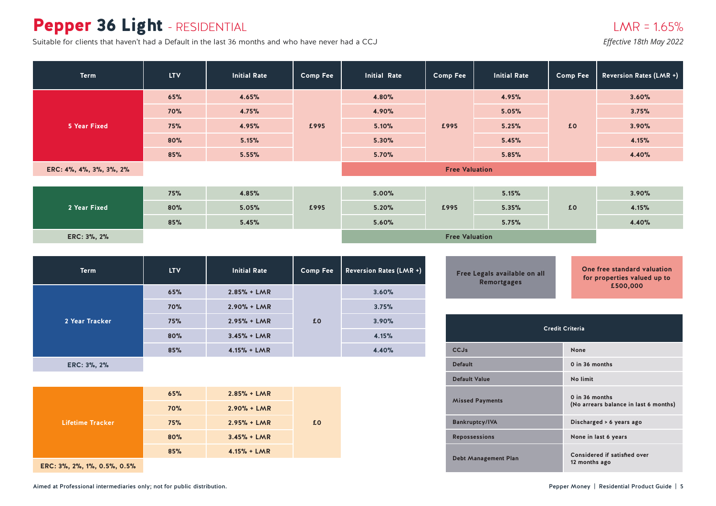### Pepper 36 Light - RESIDENTIAL

Suitable for clients that haven't had a Default in the last 36 months and who have never had a CCJ *Effective 18th May 2022* 

| <b>Term</b>             | <b>LTV</b> | <b>Initial Rate</b> | <b>Comp Fee</b> | <b>Initial Rate</b>   | <b>Comp Fee</b>       | <b>Initial Rate</b> | <b>Comp Fee</b> | <b>Reversion Rates (LMR +)</b> |
|-------------------------|------------|---------------------|-----------------|-----------------------|-----------------------|---------------------|-----------------|--------------------------------|
|                         | 65%        | 4.65%               |                 | 4.80%                 |                       | 4.95%               |                 | 3.60%                          |
|                         | <b>70%</b> | 4.75%               |                 | 4.90%                 | £995                  | 5.05%               | £0              | 3.75%                          |
| 5 Year Fixed            | 75%        | 4.95%               | £995            | 5.10%                 |                       | 5.25%               |                 | 3.90%                          |
|                         | 80%        | 5.15%               |                 | 5.30%                 |                       | 5.45%               |                 | 4.15%                          |
|                         | 85%        | 5.55%               |                 | 5.70%                 |                       | 5.85%               |                 | 4.40%                          |
| ERC: 4%, 4%, 3%, 3%, 2% |            |                     |                 | <b>Free Valuation</b> |                       |                     |                 |                                |
|                         |            |                     |                 |                       |                       |                     |                 |                                |
| 2 Year Fixed            | 75%        | 4.85%               |                 | 5.00%                 |                       | 5.15%               |                 | 3.90%                          |
|                         | 80%        | 5.05%               | £995            | 5.20%                 | £995                  | 5.35%               | £0              | 4.15%                          |
|                         | 85%        | 5.45%               |                 | 5.60%                 |                       | 5.75%               |                 | 4.40%                          |
| ERC: 3%, 2%             |            |                     |                 |                       | <b>Free Valuation</b> |                     |                 |                                |

| <b>Term</b>    | <b>LTV</b> | <b>Initial Rate</b> | <b>Comp Fee</b> | <b>Reversion Rates (LMR +)</b> |
|----------------|------------|---------------------|-----------------|--------------------------------|
| 2 Year Tracker | 65%        | $2.85% + LMR$       |                 | 3.60%                          |
|                | 70%        | $2.90% + LMR$       |                 | 3.75%                          |
|                | 75%        | $2.95% + LMR$       | £0              | 3.90%                          |
|                | 80%        | $3.45% + LMR$       |                 | 4.15%                          |
|                | 85%        | $4.15% + LMR$       |                 | 4.40%                          |
|                |            |                     |                 |                                |

**ERC: 3%, 2%**

| <b>Lifetime Tracker</b> | 65% | $2.85% + LMR$ |    |
|-------------------------|-----|---------------|----|
|                         | 70% | $2.90% + LMR$ |    |
|                         | 75% | $2.95% + LMR$ | £0 |
|                         | 80% | $3.45% + LMR$ |    |
|                         | 85% | $4.15% + LMR$ |    |
|                         |     |               |    |

**ERC: 3%, 2%, 1%, 0.5%, 0.5%**

| <b>Credit Criteria</b>      |                                                         |  |  |  |  |  |  |
|-----------------------------|---------------------------------------------------------|--|--|--|--|--|--|
| CCJs                        | None                                                    |  |  |  |  |  |  |
| <b>Default</b>              | 0 in 36 months                                          |  |  |  |  |  |  |
| <b>Default Value</b>        | No limit                                                |  |  |  |  |  |  |
| <b>Missed Payments</b>      | 0 in 36 months<br>(No arrears balance in last 6 months) |  |  |  |  |  |  |
| <b>Bankruptcy/IVA</b>       | Discharged > 6 years ago                                |  |  |  |  |  |  |
| <b>Repossessions</b>        | None in last 6 years                                    |  |  |  |  |  |  |
| <b>Debt Management Plan</b> | Considered if satisfied over<br>12 months ago           |  |  |  |  |  |  |

**Free Legals available on all Remortgages**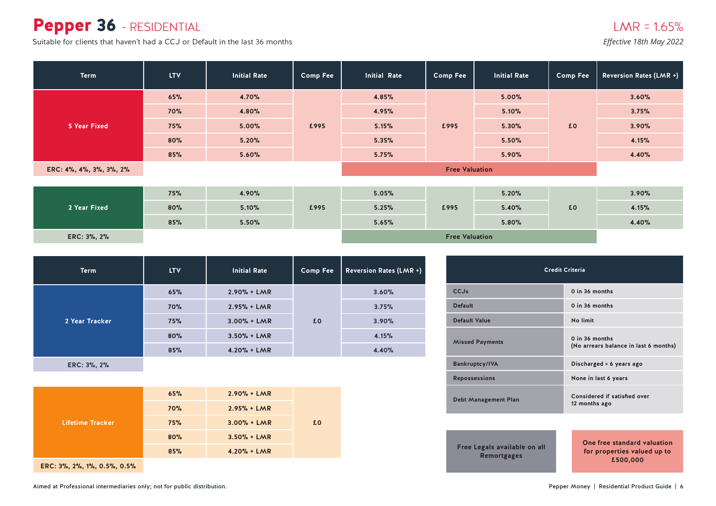#### Pepper 36 - RESIDENTIAL

Suitable for clients that haven't had a CCJ or Default in the last 36 months *Effective 18th May 2022* 

| <b>Term</b>             | <b>LTV</b> | <b>Initial Rate</b> | <b>Comp Fee</b>                          | <b>Initial Rate</b>   | <b>Comp Fee</b> | <b>Initial Rate</b> | Comp Fee | Reversion Rates (LMR +) |
|-------------------------|------------|---------------------|------------------------------------------|-----------------------|-----------------|---------------------|----------|-------------------------|
|                         | 65%        | 4.70%               |                                          | 4.85%                 |                 | 5.00%               |          | 3.60%                   |
|                         | <b>70%</b> | 4.80%               | 4.95%<br>£995<br>5.15%<br>5.35%<br>5.75% |                       | £995            | 5.10%               | £0       | 3.75%                   |
| 5 Year Fixed            | 75%        | 5.00%               |                                          |                       |                 | 5.30%               |          | 3.90%                   |
|                         | 80%        | 5.20%               |                                          |                       |                 | 5.50%               |          | 4.15%                   |
|                         | 85%        | 5.60%               |                                          |                       |                 | 5.90%               |          | 4.40%                   |
| ERC: 4%, 4%, 3%, 3%, 2% |            |                     |                                          | <b>Free Valuation</b> |                 |                     |          |                         |
|                         |            |                     |                                          |                       |                 |                     |          |                         |
|                         | 75%        | 4.90%               |                                          | 5.05%                 |                 | 5.20%               |          | 3.90%                   |
| 2 Year Fixed            | 80%        | 5.10%               | £995                                     | 5.25%                 | £995            | 5.40%               | £0       | 4.15%                   |
|                         | 85%        | 5.50%               |                                          | 5.65%                 |                 | 5.80%               |          | 4.40%                   |
| ERC: 3%, 2%             |            |                     |                                          | <b>Free Valuation</b> |                 |                     |          |                         |

| <b>Term</b>    | <b>LTV</b> | <b>Initial Rate</b> | <b>Comp Fee</b> | <b>Reversion Rates (LMR +)</b> |
|----------------|------------|---------------------|-----------------|--------------------------------|
| 2 Year Tracker | 65%        | $2.90% + LMR$       |                 |                                |
|                | 70%        | $2.95% + LMR$       |                 | 3.75%                          |
|                | 75%        | $3.00% + LMR$       | £0              | 3.90%                          |
|                | 80%        | $3.50% + LMR$       |                 | 4.15%                          |
|                | 85%        | $4.20% + LMR$       |                 | 4.40%                          |

**ERC: 3%, 2%**

| Lifetime Tracker | 65% | $2.90% + LMR$ |    |
|------------------|-----|---------------|----|
|                  | 70% | $2.95% + LMR$ |    |
|                  | 75% | $3.00% + LMR$ | £0 |
|                  | 80% | $3.50% + LMR$ |    |
|                  | 85% | $4.20% + LMR$ |    |
|                  |     |               |    |

**ERC: 3%, 2%, 1%, 0.5%, 0.5%**

| Credit Criteria                                    |                                                                        |  |  |  |  |  |  |
|----------------------------------------------------|------------------------------------------------------------------------|--|--|--|--|--|--|
| CCJs                                               | $0$ in $36$ months                                                     |  |  |  |  |  |  |
| <b>Default</b>                                     | 0 in 36 months                                                         |  |  |  |  |  |  |
| Default Value                                      | No limit                                                               |  |  |  |  |  |  |
| <b>Missed Payments</b>                             | $0$ in $36$ months<br>(No arrears balance in last 6 months)            |  |  |  |  |  |  |
| <b>Bankruptcy/IVA</b>                              | Discharged > 6 years ago                                               |  |  |  |  |  |  |
| <b>Repossessions</b>                               | None in last 6 years                                                   |  |  |  |  |  |  |
| <b>Debt Management Plan</b>                        | Considered if satisfied over<br>12 months ago                          |  |  |  |  |  |  |
|                                                    |                                                                        |  |  |  |  |  |  |
| Free Legals available on all<br><b>Remortgages</b> | One free standard valuation<br>for properties valued up to<br>£500,000 |  |  |  |  |  |  |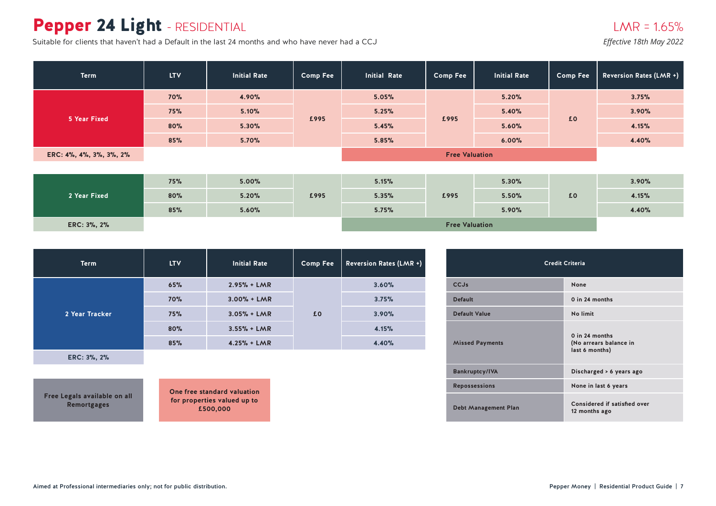# Pepper 24 Light - RESIDENTIAL

Suitable for clients that haven't had a Default in the last 24 months and who have never had a CCJ *Effective 18th May 2022* 

| Term                    | <b>LTV</b> | <b>Initial Rate</b> | <b>Comp Fee</b> | <b>Initial Rate</b> | <b>Comp Fee</b>       | <b>Initial Rate</b> | <b>Comp Fee</b> | <b>Reversion Rates (LMR +)</b> |
|-------------------------|------------|---------------------|-----------------|---------------------|-----------------------|---------------------|-----------------|--------------------------------|
|                         | <b>70%</b> | 4.90%               |                 | 5.05%               |                       | 5.20%               |                 | 3.75%                          |
| <b>5 Year Fixed</b>     | 75%        | 5.10%               | £995            | 5.25%               | £995                  | 5.40%               | £0              | 3.90%                          |
|                         | 80%        | 5.30%               |                 | 5.45%               |                       | 5.60%               |                 | 4.15%                          |
|                         | 85%        | 5.70%               |                 | 5.85%               |                       | 6.00%               |                 | 4.40%                          |
| ERC: 4%, 4%, 3%, 3%, 2% |            |                     |                 |                     |                       |                     |                 |                                |
|                         |            |                     |                 |                     |                       |                     |                 |                                |
|                         | 75%        | 5.00%               |                 | 5.15%               |                       | 5.30%               |                 | 3.90%                          |
| 2 Year Fixed            | 80%        | 5.20%               | £995            | 5.35%               | £995                  | 5.50%               | £0              | 4.15%                          |
|                         | 85%        | 5.60%               |                 | 5.75%               |                       | 5.90%               |                 | 4.40%                          |
| ERC: 3%, 2%             |            |                     |                 |                     | <b>Free Valuation</b> |                     |                 |                                |

| <b>Term</b>    | <b>LTV</b> | <b>Initial Rate</b> | <b>Comp Fee</b> | <b>Reversion Rates (LMR +)</b> |
|----------------|------------|---------------------|-----------------|--------------------------------|
| 2 Year Tracker | 65%        | $2.95% + LMR$       |                 | 3.60%                          |
|                | 70%        | $3.00% + LMR$       |                 | 3.75%                          |
|                | 75%        | $3.05% + LMR$       | £0              | 3.90%                          |
|                | 80%        | $3.55% + LMR$       |                 | 4.15%                          |
|                | 85%        | $4.25% + LMR$       |                 | 4.40%                          |
| ERC: 3%, 2%    |            |                     |                 |                                |

**Free Legals available on all Remortgages**

| Credit Criteria             |                                                              |  |  |  |  |  |
|-----------------------------|--------------------------------------------------------------|--|--|--|--|--|
| <b>CCJs</b>                 | None                                                         |  |  |  |  |  |
| <b>Default</b>              | 0 in 24 months                                               |  |  |  |  |  |
| <b>Default Value</b>        | No limit                                                     |  |  |  |  |  |
| <b>Missed Payments</b>      | $0$ in 24 months<br>(No arrears balance in<br>last 6 months) |  |  |  |  |  |
| <b>Bankruptcy/IVA</b>       | Discharged > 6 years ago                                     |  |  |  |  |  |
| <b>Repossessions</b>        | None in last 6 years                                         |  |  |  |  |  |
| <b>Debt Management Plan</b> | <b>Considered if satisfied over</b><br>12 months ago         |  |  |  |  |  |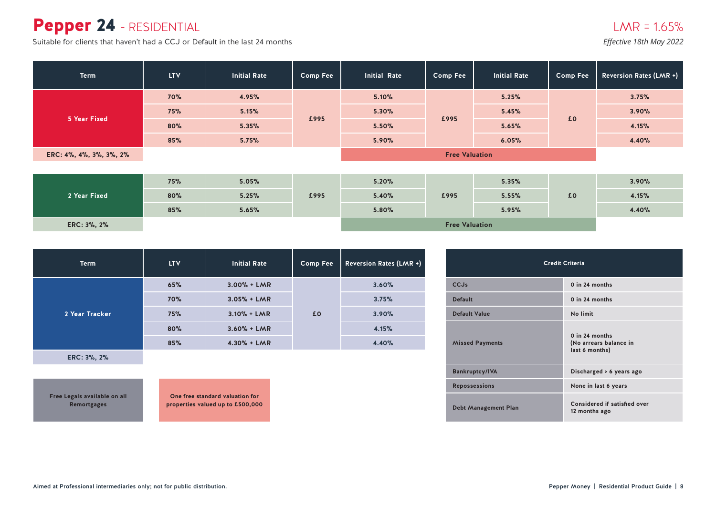### Pepper 24 - RESIDENTIAL

Suitable for clients that haven't had a CCJ or Default in the last 24 months *Effective 18th May 2022* 

| <b>Term</b>             | <b>LTV</b> | <b>Initial Rate</b> | Comp Fee                        | <b>Initial Rate</b>   | <b>Comp Fee</b>       | <b>Initial Rate</b> | <b>Comp Fee</b> | <b>Reversion Rates (LMR +)</b> |  |  |
|-------------------------|------------|---------------------|---------------------------------|-----------------------|-----------------------|---------------------|-----------------|--------------------------------|--|--|
|                         | <b>70%</b> | 4.95%               |                                 | 5.10%                 |                       | 5.25%               |                 | 3.75%                          |  |  |
|                         | 75%        | 5.15%               | 5.30%<br>£995<br>5.50%<br>5.90% |                       | 5.45%                 |                     | 3.90%           |                                |  |  |
| 5 Year Fixed            | 80%        | 5.35%               |                                 |                       | £995                  | 5.65%               | £0              | 4.15%                          |  |  |
|                         | 85%        | 5.75%               |                                 |                       |                       | 6.05%               |                 | 4.40%                          |  |  |
| ERC: 4%, 4%, 3%, 3%, 2% |            |                     |                                 | <b>Free Valuation</b> |                       |                     |                 |                                |  |  |
|                         |            |                     |                                 |                       |                       |                     |                 |                                |  |  |
|                         | 75%        | 5.05%               |                                 | 5.20%                 |                       | 5.35%               |                 | 3.90%                          |  |  |
| 2 Year Fixed            | 80%        | 5.25%               | £995                            | 5.40%                 | £995                  | 5.55%               | £0              | 4.15%                          |  |  |
|                         | 85%        | 5.65%               |                                 | 5.80%                 |                       | 5.95%               |                 | 4.40%                          |  |  |
| ERC: 3%, 2%             |            |                     |                                 |                       | <b>Free Valuation</b> |                     |                 |                                |  |  |

| <b>Term</b>    | <b>LTV</b> | <b>Initial Rate</b> | <b>Comp Fee</b> | <b>Reversion Rates (LMR +)</b> |
|----------------|------------|---------------------|-----------------|--------------------------------|
|                | 65%        | $3.00% + LMR$       |                 | 3.60%                          |
|                | 70%        | $3.05% + LMR$       |                 | 3.75%                          |
| 2 Year Tracker | 75%        | $3.10% + LMR$       | £0              | 3.90%                          |
|                | 80%        | $3.60% + LMR$       |                 | 4.15%                          |
|                | 85%        | $4.30% + LMR$       |                 | 4.40%                          |

**ERC: 3%, 2%**

**Free Legals available on all Remortgages**

| <b>Credit Criteria</b>      |                                                              |  |  |  |  |  |
|-----------------------------|--------------------------------------------------------------|--|--|--|--|--|
| CCJs                        | 0 in 24 months                                               |  |  |  |  |  |
| <b>Default</b>              | 0 in 24 months                                               |  |  |  |  |  |
| <b>Default Value</b>        | No limit                                                     |  |  |  |  |  |
| <b>Missed Payments</b>      | $0$ in 24 months<br>(No arrears balance in<br>last 6 months) |  |  |  |  |  |
| <b>Bankruptcy/IVA</b>       | Discharged > 6 years ago                                     |  |  |  |  |  |
| <b>Repossessions</b>        | None in last 6 years                                         |  |  |  |  |  |
| <b>Debt Management Plan</b> | Considered if satisfied over<br>12 months ago                |  |  |  |  |  |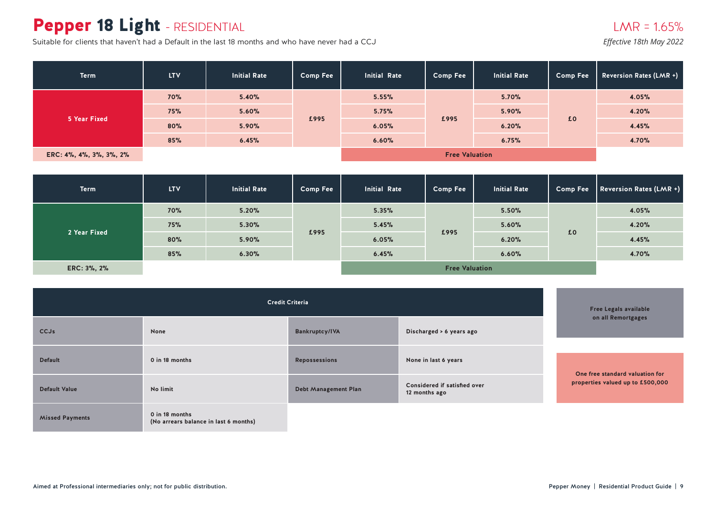# Pepper 18 Light - RESIDENTIAL

Suitable for clients that haven't had a Default in the last 18 months and who have never had a CCJ *Effective 18th May 2022* 

| <b>Term</b>             | <b>LTV</b> | <b>Initial Rate</b> | <b>Comp Fee</b>                 | <b>Initial Rate</b>   | <b>Comp Fee</b> | <b>Initial Rate</b> | <b>Comp Fee</b> | <b>Reversion Rates (LMR +)</b> |
|-------------------------|------------|---------------------|---------------------------------|-----------------------|-----------------|---------------------|-----------------|--------------------------------|
|                         | <b>70%</b> | 5.40%               | 5.60%<br>£995<br>5.90%<br>6.45% | 5.55%                 |                 | 5.70%               | £0              | 4.05%                          |
|                         | 75%        |                     |                                 | 5.75%                 |                 | 5.90%               |                 | 4.20%                          |
| 5 Year Fixed            | 80%        |                     |                                 | 6.05%                 | £995            | 6.20%               |                 | 4.45%                          |
|                         | 85%        |                     |                                 | 6.60%                 |                 | 6.75%               |                 | 4.70%                          |
| ERC: 4%, 4%, 3%, 3%, 2% |            |                     |                                 | <b>Free Valuation</b> |                 |                     |                 |                                |

| <b>Term</b>  | <b>LTV</b> | <b>Initial Rate</b> | <b>Comp Fee</b> | <b>Initial Rate</b>   | <b>Comp Fee</b> | <b>Initial Rate</b> | <b>Comp Fee</b> | Reversion Rates (LMR +) |
|--------------|------------|---------------------|-----------------|-----------------------|-----------------|---------------------|-----------------|-------------------------|
|              | <b>70%</b> | 5.20%               | £995            | 5.35%                 |                 | 5.50%               | £0              | 4.05%                   |
|              | 75%        | 5.30%               |                 | 5.45%                 | £995            | 5.60%               |                 | 4.20%                   |
| 2 Year Fixed | 80%        | 5.90%               |                 | 6.05%                 |                 | 6.20%               |                 | 4.45%                   |
|              | 85%        | 6.30%               |                 | 6.45%                 |                 | 6.60%               |                 | 4.70%                   |
| ERC: 3%, 2%  |            |                     |                 | <b>Free Valuation</b> |                 |                     |                 |                         |

|                        | <b>Free Legals available</b>                            |                             |                                               |                                  |
|------------------------|---------------------------------------------------------|-----------------------------|-----------------------------------------------|----------------------------------|
| <b>CCJs</b>            | None                                                    | <b>Bankruptcy/IVA</b>       | Discharged > 6 years ago                      | on all Remortgages               |
| <b>Default</b>         | 0 in 18 months                                          | <b>Repossessions</b>        | None in last 6 years                          | One free standard valuation for  |
| <b>Default Value</b>   | No limit                                                | <b>Debt Management Plan</b> | Considered if satisfied over<br>12 months ago | properties valued up to £500,000 |
| <b>Missed Payments</b> | 0 in 18 months<br>(No arrears balance in last 6 months) |                             |                                               |                                  |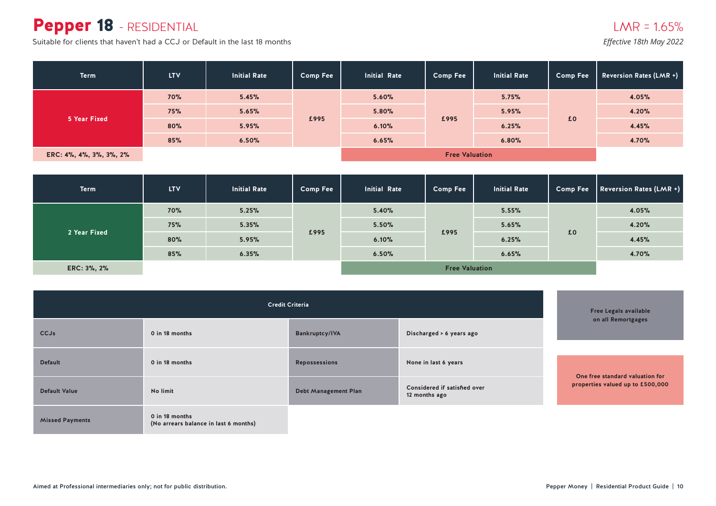### Pepper 18 - RESIDENTIAL

Suitable for clients that haven't had a CCJ or Default in the last 18 months

| <b>Term</b>             | <b>LTV</b> | <b>Initial Rate</b> | <b>Comp Fee</b> | <b>Initial Rate</b> | <b>Comp Fee</b> | <b>Initial Rate</b> | <b>Comp Fee</b> | <b>Reversion Rates (LMR +)</b> |
|-------------------------|------------|---------------------|-----------------|---------------------|-----------------|---------------------|-----------------|--------------------------------|
|                         | <b>70%</b> | 5.45%               | £995            | 5.60%               |                 | 5.75%               | £0              | 4.05%                          |
|                         | 75%        | 5.65%               |                 | 5.80%               |                 | 5.95%               |                 | 4.20%                          |
| 5 Year Fixed            | 80%        | 5.95%               |                 | 6.10%               | £995            | 6.25%               |                 | 4.45%                          |
|                         | 85%        | 6.50%               |                 | 6.65%               |                 | 6.80%               |                 | 4.70%                          |
| ERC: 4%, 4%, 3%, 3%, 2% |            |                     |                 |                     |                 |                     |                 |                                |

| <b>Term</b>                | <b>LTV</b>   | <b>Initial Rate</b> | <b>Comp Fee</b> | <b>Initial Rate</b> | <b>Comp Fee</b>       | <b>Initial Rate</b> | <b>Comp Fee</b> | Reversion Rates (LMR +) |
|----------------------------|--------------|---------------------|-----------------|---------------------|-----------------------|---------------------|-----------------|-------------------------|
|                            | 70%          | 5.25%               |                 | 5.40%               |                       | 5.55%               |                 | 4.05%                   |
| 75%<br>2 Year Fixed<br>80% |              | 5.35%               | £995            | 5.50%               | £995                  | 5.65%               | £0              | 4.20%                   |
|                            |              | 5.95%               |                 | 6.10%               |                       | 6.25%               |                 | 4.45%                   |
|                            | 85%<br>6.35% |                     | 6.50%           |                     | 6.65%                 |                     | 4.70%           |                         |
| ERC: 3%, 2%                |              |                     |                 |                     | <b>Free Valuation</b> |                     |                 |                         |

|                        | <b>Free Legals available</b><br>on all Remortgages      |                                                                              |                      |                                  |
|------------------------|---------------------------------------------------------|------------------------------------------------------------------------------|----------------------|----------------------------------|
| <b>CCJs</b>            | 0 in 18 months                                          | Bankruptcy/IVA                                                               |                      |                                  |
| <b>Default</b>         | 0 in 18 months                                          | <b>Repossessions</b>                                                         | None in last 6 years | One free standard valuation for  |
| <b>Default Value</b>   | No limit                                                | Considered if satisfied over<br><b>Debt Management Plan</b><br>12 months ago |                      | properties valued up to £500,000 |
| <b>Missed Payments</b> | 0 in 18 months<br>(No arrears balance in last 6 months) |                                                                              |                      |                                  |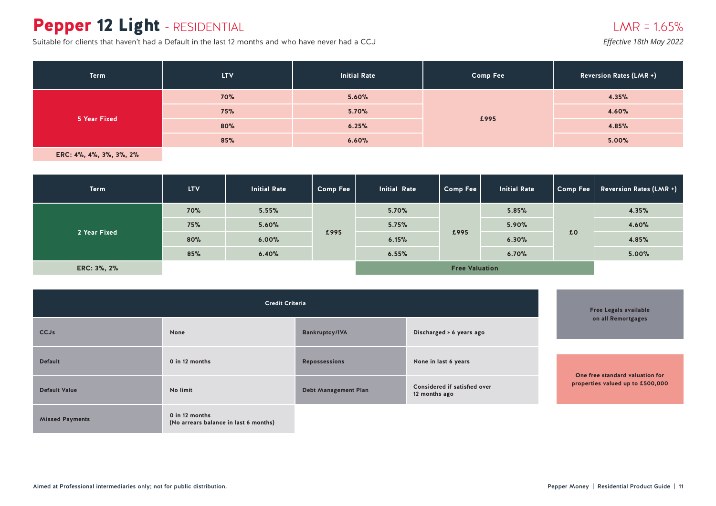# Pepper 12 Light - RESIDENTIAL

Suitable for clients that haven't had a Default in the last 12 months and who have never had a CCJ

#### $LMR = 1.65%$

*Effective 18th May 2022*

| <b>Term</b>  | <b>LTV</b>   | <b>Initial Rate</b> | <b>Comp Fee</b> | <b>Reversion Rates (LMR +)</b> |
|--------------|--------------|---------------------|-----------------|--------------------------------|
|              | <b>70%</b>   | 5.60%               |                 | 4.35%                          |
|              | 75%          | 5.70%               | £995            | 4.60%                          |
| 5 Year Fixed | 80%<br>6.25% |                     |                 | 4.85%                          |
|              | 85%          | 6.60%               |                 | 5.00%                          |

| <b>Term</b>  | LTV.       | <b>Initial Rate</b> | <b>Comp Fee</b> | <b>Initial Rate</b> | Comp Fee              | <b>Initial Rate</b> | Comp Fee | <b>Reversion Rates (LMR +)</b> |
|--------------|------------|---------------------|-----------------|---------------------|-----------------------|---------------------|----------|--------------------------------|
|              | <b>70%</b> | 5.55%               |                 | 5.70%               |                       | 5.85%               |          | 4.35%                          |
|              | 75%        | 5.60%               | £995            | 5.75%               | £995                  | 5.90%               | £0       | 4.60%                          |
| 2 Year Fixed | 80%        | 6.00%               |                 | 6.15%               |                       | 6.30%               |          | 4.85%                          |
|              | 85%        | 6.40%               |                 | 6.55%               |                       | 6.70%               |          | 5.00%                          |
| ERC: 3%, 2%  |            |                     |                 |                     | <b>Free Valuation</b> |                     |          |                                |

|                        | <b>Free Legals available</b>                            |                      |                                               |                                  |
|------------------------|---------------------------------------------------------|----------------------|-----------------------------------------------|----------------------------------|
| <b>CCJs</b>            | None                                                    | Bankruptcy/IVA       | on all Remortgages                            |                                  |
| <b>Default</b>         | 0 in 12 months                                          | <b>Repossessions</b> | None in last 6 years                          | One free standard valuation for  |
| <b>Default Value</b>   | No limit                                                | Debt Management Plan | Considered if satisfied over<br>12 months ago | properties valued up to £500,000 |
| <b>Missed Payments</b> | 0 in 12 months<br>(No arrears balance in last 6 months) |                      |                                               |                                  |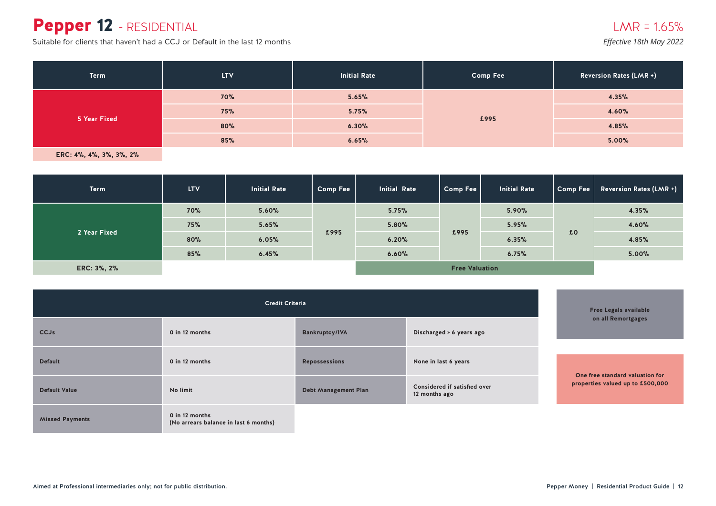### Pepper 12 - RESIDENTIAL

Suitable for clients that haven't had a CCJ or Default in the last 12 months

*Effective 18th May 2022*

| <b>Term</b>                                                         | <b>LTV</b> | <b>Initial Rate</b> | <b>Comp Fee</b> | <b>Reversion Rates (LMR +)</b> |
|---------------------------------------------------------------------|------------|---------------------|-----------------|--------------------------------|
| 5.65%<br><b>70%</b><br>5.75%<br>75%<br>5 Year Fixed<br>80%<br>6.30% |            |                     | 4.35%           |                                |
|                                                                     |            |                     |                 | 4.60%                          |
|                                                                     |            |                     | £995            | 4.85%                          |
|                                                                     | 85%        | 6.65%               |                 | 5.00%                          |

| <b>Term</b>  | <b>LTV</b> | <b>Initial Rate</b> | <b>Comp Fee</b> | <b>Initial Rate</b> | Comp Fee              | <b>Initial Rate</b> | Comp Fee | <b>Reversion Rates (LMR +)</b> |
|--------------|------------|---------------------|-----------------|---------------------|-----------------------|---------------------|----------|--------------------------------|
|              | <b>70%</b> | 5.60%               |                 | 5.75%               |                       | 5.90%               |          | 4.35%                          |
|              | 75%        | 5.65%               | £995            | 5.80%               | £995                  | 5.95%               | £0       | 4.60%                          |
| 2 Year Fixed | 80%        | 6.05%               |                 | 6.20%               |                       | 6.35%               |          | 4.85%                          |
|              | 85%        | 6.45%               |                 | 6.60%               |                       | 6.75%               |          | 5.00%                          |
| ERC: 3%, 2%  |            |                     |                 |                     | <b>Free Valuation</b> |                     |          |                                |

|                        | <b>Free Legals available</b>                            |                             |                                               |                                  |
|------------------------|---------------------------------------------------------|-----------------------------|-----------------------------------------------|----------------------------------|
| <b>CCJs</b>            | 0 in 12 months                                          | <b>Bankruptcy/IVA</b>       | on all Remortgages                            |                                  |
| <b>Default</b>         | 0 in 12 months                                          | <b>Repossessions</b>        | None in last 6 years                          | One free standard valuation for  |
| <b>Default Value</b>   | No limit                                                | <b>Debt Management Plan</b> | Considered if satisfied over<br>12 months ago | properties valued up to £500,000 |
| <b>Missed Payments</b> | 0 in 12 months<br>(No arrears balance in last 6 months) |                             |                                               |                                  |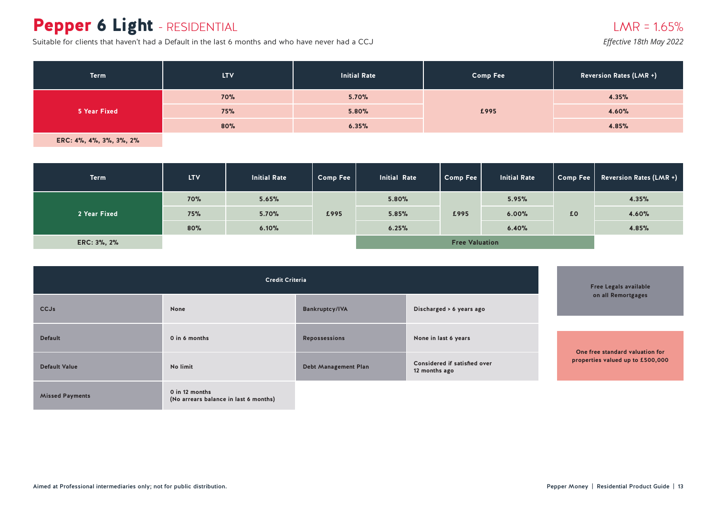# Pepper 6 Light - RESIDENTIAL

Suitable for clients that haven't had a Default in the last 6 months and who have never had a CCJ

#### $LMR = 1.65%$

*Effective 18th May 2022*

| <b>Term</b>  | <b>LTV</b> | <b>Initial Rate</b> | <b>Comp Fee</b> | Reversion Rates (LMR +) |
|--------------|------------|---------------------|-----------------|-------------------------|
|              | <b>70%</b> | 5.70%               |                 | 4.35%                   |
| 5 Year Fixed | 75%        | 5.80%               | £995            | 4.60%                   |
|              | 80%        | 6.35%               |                 | 4.85%                   |

| <b>Term</b>  | <b>LTV</b> | <b>Initial Rate</b> | <b>Comp Fee</b> | <b>Initial Rate</b> | Comp Fee              | <b>Initial Rate</b> | Comp Fee | <b>Reversion Rates (LMR +)</b> |
|--------------|------------|---------------------|-----------------|---------------------|-----------------------|---------------------|----------|--------------------------------|
|              | <b>70%</b> | 5.65%               |                 | 5.80%               |                       | 5.95%               |          | 4.35%                          |
| 2 Year Fixed | 75%        | 5.70%               | £995            | 5.85%               | £995                  | 6.00%               | £0       | 4.60%                          |
|              | 80%        | 6.10%               |                 | 6.25%               |                       | 6.40%               |          | 4.85%                          |
| ERC: 3%, 2%  |            |                     |                 |                     | <b>Free Valuation</b> |                     |          |                                |

|                        | <b>Free Legals available</b>                            |                             |                                               |                                                                     |
|------------------------|---------------------------------------------------------|-----------------------------|-----------------------------------------------|---------------------------------------------------------------------|
| <b>CCJs</b>            | None                                                    | Bankruptcy/IVA              | on all Remortgages                            |                                                                     |
|                        |                                                         |                             |                                               |                                                                     |
| <b>Default</b>         | 0 in 6 months                                           | <b>Repossessions</b>        | None in last 6 years                          |                                                                     |
| <b>Default Value</b>   | No limit                                                | <b>Debt Management Plan</b> | Considered if satisfied over<br>12 months ago | One free standard valuation for<br>properties valued up to £500,000 |
| <b>Missed Payments</b> | 0 in 12 months<br>(No arrears balance in last 6 months) |                             |                                               |                                                                     |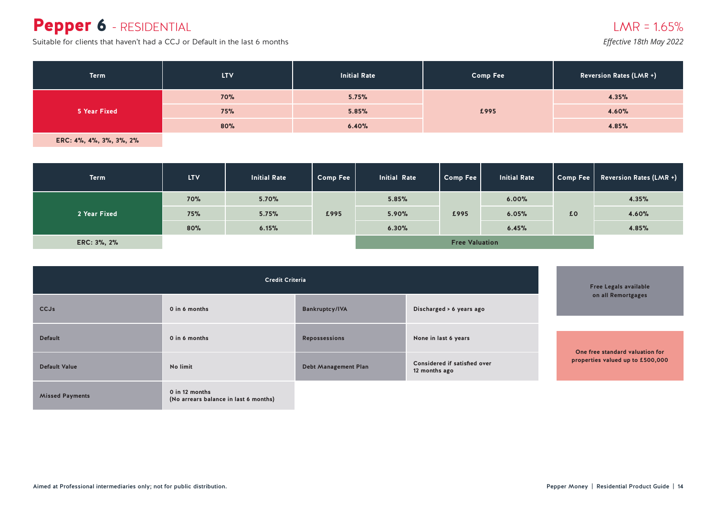### Pepper 6 - RESIDENTIAL

Suitable for clients that haven't had a CCJ or Default in the last 6 months

*Effective 18th May 2022*

| <b>Term</b>  | <b>LTV</b> | <b>Initial Rate</b> | <b>Comp Fee</b> | <b>Reversion Rates (LMR +)</b> |
|--------------|------------|---------------------|-----------------|--------------------------------|
| 5 Year Fixed | <b>70%</b> | 5.75%               |                 | 4.35%                          |
|              | 75%        | 5.85%               | £995            | 4.60%                          |
|              | 80%        | 6.40%               |                 | 4.85%                          |

| <b>Term</b>  | <b>LTV</b> | <b>Initial Rate</b> | <b>Comp Fee</b> | <b>Initial Rate</b> | Comp Fee              | <b>Initial Rate</b> | Comp Fee | <b>Reversion Rates (LMR +)</b> |
|--------------|------------|---------------------|-----------------|---------------------|-----------------------|---------------------|----------|--------------------------------|
|              | <b>70%</b> | 5.70%               |                 | 5.85%               |                       | 6.00%               |          | 4.35%                          |
| 2 Year Fixed | <b>75%</b> | 5.75%               | £995            | 5.90%               | £995                  | 6.05%               | £0       | 4.60%                          |
|              | 80%        | 6.15%               |                 | 6.30%               |                       | 6.45%               |          | 4.85%                          |
| ERC: 3%, 2%  |            |                     |                 |                     | <b>Free Valuation</b> |                     |          |                                |

|                        |                                                         | <b>Free Legals available</b> |                                                                       |  |                                                                     |
|------------------------|---------------------------------------------------------|------------------------------|-----------------------------------------------------------------------|--|---------------------------------------------------------------------|
| <b>CCJs</b>            | 0 in 6 months                                           | <b>Bankruptcy/IVA</b>        | Discharged > 6 years ago                                              |  | on all Remortgages                                                  |
| <b>Default</b>         | 0 in 6 months                                           | <b>Repossessions</b>         | None in last 6 years<br>Considered if satisfied over<br>12 months ago |  |                                                                     |
| <b>Default Value</b>   | No limit                                                | <b>Debt Management Plan</b>  |                                                                       |  | One free standard valuation for<br>properties valued up to £500,000 |
| <b>Missed Payments</b> | 0 in 12 months<br>(No arrears balance in last 6 months) |                              |                                                                       |  |                                                                     |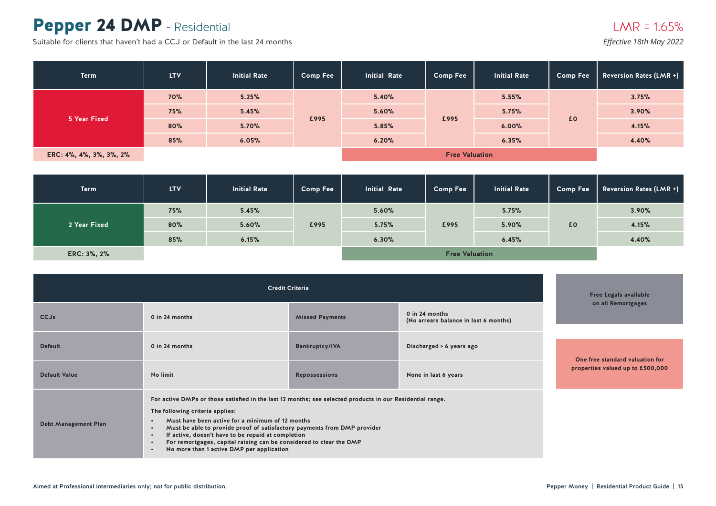### Pepper 24 DMP - Residential

Suitable for clients that haven't had a CCJ or Default in the last 24 months

| <b>Term</b>             | <b>LTV</b>            | <b>Initial Rate</b> | <b>Comp Fee</b> | <b>Initial Rate</b> | <b>Comp Fee</b> | <b>Initial Rate</b> | <b>Comp Fee</b> | <b>Reversion Rates (LMR +)</b> |
|-------------------------|-----------------------|---------------------|-----------------|---------------------|-----------------|---------------------|-----------------|--------------------------------|
|                         | <b>70%</b>            | 5.25%               |                 | 5.40%               |                 | 5.55%               |                 | 3.75%                          |
|                         | 75%                   | 5.45%               |                 | 5.60%               | £995            | 5.75%               | £0              | 3.90%                          |
| 5 Year Fixed            | 80%                   | 5.70%               | £995            | 5.85%               |                 | 6.00%               |                 | 4.15%                          |
|                         | 85%                   | 6.05%               |                 | 6.20%               |                 | 6.35%               |                 | 4.40%                          |
| ERC: 4%, 4%, 3%, 3%, 2% | <b>Free Valuation</b> |                     |                 |                     |                 |                     |                 |                                |

| <b>Term</b>  | <b>LTV</b>            | <b>Initial Rate</b> | <b>Comp Fee</b> | <b>Initial Rate</b> | <b>Comp Fee</b> | <b>Initial Rate</b> | <b>Comp Fee</b> | <b>Reversion Rates (LMR +)</b> |
|--------------|-----------------------|---------------------|-----------------|---------------------|-----------------|---------------------|-----------------|--------------------------------|
|              | 75%                   | 5.45%               |                 | 5.60%               |                 | 5.75%               |                 | 3.90%                          |
| 2 Year Fixed | 80%                   | 5.60%               | £995            | 5.75%               | £995            | 5.90%               | £0              | 4.15%                          |
|              | 85%                   | 6.15%               |                 | 6.30%               |                 | 6.45%               |                 | 4.40%                          |
| ERC: 3%, 2%  | <b>Free Valuation</b> |                     |                 |                     |                 |                     |                 |                                |

|                             |                                                                                                                                                                                                                                                                                                                                                                                                                                                                                                                         | <b>Free Legals available</b>                                                      |                          |  |                                  |
|-----------------------------|-------------------------------------------------------------------------------------------------------------------------------------------------------------------------------------------------------------------------------------------------------------------------------------------------------------------------------------------------------------------------------------------------------------------------------------------------------------------------------------------------------------------------|-----------------------------------------------------------------------------------|--------------------------|--|----------------------------------|
| <b>CCJs</b>                 | 0 in 24 months                                                                                                                                                                                                                                                                                                                                                                                                                                                                                                          | 0 in 24 months<br><b>Missed Payments</b><br>(No arrears balance in last 6 months) |                          |  | on all Remortgages               |
|                             |                                                                                                                                                                                                                                                                                                                                                                                                                                                                                                                         |                                                                                   |                          |  |                                  |
| <b>Default</b>              | 0 in 24 months                                                                                                                                                                                                                                                                                                                                                                                                                                                                                                          | <b>Bankruptcy/IVA</b>                                                             | Discharged > 6 years ago |  |                                  |
|                             |                                                                                                                                                                                                                                                                                                                                                                                                                                                                                                                         |                                                                                   |                          |  | One free standard valuation for  |
| <b>Default Value</b>        | No limit<br><b>Repossessions</b>                                                                                                                                                                                                                                                                                                                                                                                                                                                                                        |                                                                                   | None in last 6 years     |  | properties valued up to £500,000 |
| <b>Debt Management Plan</b> | For active DMPs or those satisfied in the last 12 months; see selected products in our Residential range.<br>The following criteria applies:<br>Must have been active for a minimum of 12 months<br>$\bullet$<br>Must be able to provide proof of satisfactory payments from DMP provider<br>$\bullet$<br>If active, doesn't have to be repaid at completion<br>$\bullet$<br>For remortgages, capital raising can be considered to clear the DMP<br>$\bullet$<br>No more than 1 active DMP per application<br>$\bullet$ |                                                                                   |                          |  |                                  |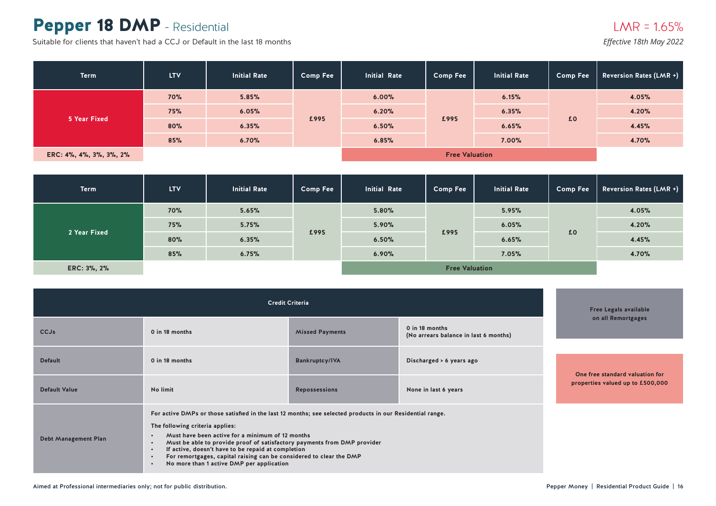### Pepper 18 DMP - Residential

Suitable for clients that haven't had a CCJ or Default in the last 18 months

| <b>Term</b>             | <b>LTV</b> | <b>Initial Rate</b> | <b>Comp Fee</b> | <b>Initial Rate</b>   | <b>Comp Fee</b> | <b>Initial Rate</b> | <b>Comp Fee</b> | <b>Reversion Rates (LMR +)</b> |
|-------------------------|------------|---------------------|-----------------|-----------------------|-----------------|---------------------|-----------------|--------------------------------|
|                         | 70%        | 5.85%               | £995            | 6.00%                 |                 | 6.15%               |                 | 4.05%                          |
|                         | 75%        | 6.05%               |                 | 6.20%                 | £995            | 6.35%               | £0              | 4.20%                          |
| 5 Year Fixed            | 80%        | 6.35%               |                 | 6.50%                 |                 | 6.65%               |                 | 4.45%                          |
|                         | 85%        | 6.70%               |                 | 6.85%                 |                 | 7.00%               |                 | 4.70%                          |
| ERC: 4%, 4%, 3%, 3%, 2% |            |                     |                 | <b>Free Valuation</b> |                 |                     |                 |                                |

| <b>Term</b>  | <b>LTV</b>            | <b>Initial Rate</b> | <b>Comp Fee</b> | <b>Initial Rate</b> | <b>Comp Fee</b> | <b>Initial Rate</b> | <b>Comp Fee</b> | <b>Reversion Rates (LMR +)</b> |
|--------------|-----------------------|---------------------|-----------------|---------------------|-----------------|---------------------|-----------------|--------------------------------|
|              | <b>70%</b>            | 5.65%               | £995            | 5.80%               |                 | 5.95%               |                 | 4.05%                          |
|              | 75%                   | 5.75%               |                 | 5.90%               |                 | 6.05%               | £0              | 4.20%                          |
| 2 Year Fixed | 80%                   | 6.35%               |                 | 6.50%               | £995            | 6.65%               |                 | 4.45%                          |
|              | 85%                   | 6.75%               |                 | 6.90%               |                 | 7.05%               |                 | 4.70%                          |
| ERC: 3%, 2%  | <b>Free Valuation</b> |                     |                 |                     |                 |                     |                 |                                |

|                             | <b>Free Legals available</b>                                                                                                                                                                                                                                                                                                                                                                                                                                                                               |                        |                                                         |                                  |  |
|-----------------------------|------------------------------------------------------------------------------------------------------------------------------------------------------------------------------------------------------------------------------------------------------------------------------------------------------------------------------------------------------------------------------------------------------------------------------------------------------------------------------------------------------------|------------------------|---------------------------------------------------------|----------------------------------|--|
| <b>CCJs</b>                 | 0 in 18 months                                                                                                                                                                                                                                                                                                                                                                                                                                                                                             | <b>Missed Payments</b> | 0 in 18 months<br>(No arrears balance in last 6 months) | on all Remortgages               |  |
|                             |                                                                                                                                                                                                                                                                                                                                                                                                                                                                                                            |                        |                                                         |                                  |  |
| <b>Default</b>              | 0 in 18 months                                                                                                                                                                                                                                                                                                                                                                                                                                                                                             | <b>Bankruptcy/IVA</b>  | Discharged > 6 years ago                                |                                  |  |
|                             |                                                                                                                                                                                                                                                                                                                                                                                                                                                                                                            |                        |                                                         | One free standard valuation for  |  |
| <b>Default Value</b>        | No limit<br><b>Repossessions</b>                                                                                                                                                                                                                                                                                                                                                                                                                                                                           |                        | None in last 6 years                                    | properties valued up to £500,000 |  |
| <b>Debt Management Plan</b> | For active DMPs or those satisfied in the last 12 months; see selected products in our Residential range.<br>The following criteria applies:<br>Must have been active for a minimum of 12 months<br>$\bullet$<br>Must be able to provide proof of satisfactory payments from DMP provider<br>$\bullet$<br>If active, doesn't have to be repaid at completion<br>$\bullet$<br>For remortgages, capital raising can be considered to clear the DMP<br>No more than 1 active DMP per application<br>$\bullet$ |                        |                                                         |                                  |  |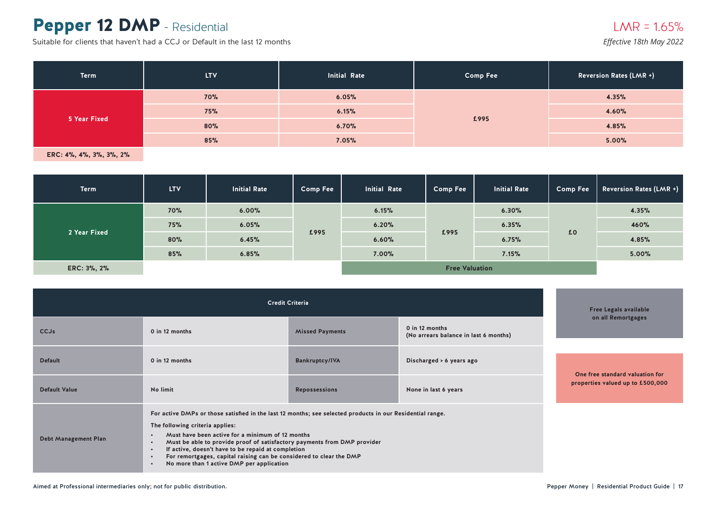### Pepper 12 DMP - Residential

Suitable for clients that haven't had a CCJ or Default in the last 12 months

*Effective 18th May 2022*

| Term         | <b>LTV</b>          | Initial Rate | <b>Comp Fee</b> | <b>Reversion Rates (LMR +)</b> |
|--------------|---------------------|--------------|-----------------|--------------------------------|
|              | <b>70%</b><br>6.05% |              | 4.35%           |                                |
| 5 Year Fixed | 75%                 | 6.15%        | £995            | 4.60%                          |
|              | 80%                 | 6.70%        |                 | 4.85%                          |
|              | 85%                 | 7.05%        |                 | 5.00%                          |

| <b>Term</b>  | <b>LTV</b> | <b>Initial Rate</b> | <b>Comp Fee</b> | <b>Initial Rate</b> | <b>Comp Fee</b>       | <b>Initial Rate</b> | <b>Comp Fee</b> | <b>Reversion Rates (LMR +)</b> |
|--------------|------------|---------------------|-----------------|---------------------|-----------------------|---------------------|-----------------|--------------------------------|
|              | 70%        | 6.00%               | £995            | 6.15%               |                       | 6.30%               |                 | 4.35%                          |
|              | 75%        | 6.05%               |                 | 6.20%               |                       | 6.35%               | £0              | 460%                           |
| 2 Year Fixed | 80%        | 6.45%               |                 | 6.60%               | £995                  | 6.75%               |                 | 4.85%                          |
|              | 85%        | 6.85%               |                 | 7.00%               |                       | 7.15%               |                 | 5.00%                          |
| ERC: 3%, 2%  |            |                     |                 |                     | <b>Free Valuation</b> |                     |                 |                                |

|                             | <b>Free Legals available</b>                                                                                                                                                                                                                                                                                                                                                                                                                                                                                            |                        |                                                         |                                  |
|-----------------------------|-------------------------------------------------------------------------------------------------------------------------------------------------------------------------------------------------------------------------------------------------------------------------------------------------------------------------------------------------------------------------------------------------------------------------------------------------------------------------------------------------------------------------|------------------------|---------------------------------------------------------|----------------------------------|
| <b>CCJs</b>                 | 0 in 12 months                                                                                                                                                                                                                                                                                                                                                                                                                                                                                                          | <b>Missed Payments</b> | 0 in 12 months<br>(No arrears balance in last 6 months) | on all Remortgages               |
|                             |                                                                                                                                                                                                                                                                                                                                                                                                                                                                                                                         |                        |                                                         |                                  |
| <b>Default</b>              | 0 in 12 months                                                                                                                                                                                                                                                                                                                                                                                                                                                                                                          | <b>Bankruptcy/IVA</b>  | Discharged > 6 years ago                                |                                  |
|                             |                                                                                                                                                                                                                                                                                                                                                                                                                                                                                                                         |                        |                                                         | One free standard valuation for  |
| <b>Default Value</b>        | No limit                                                                                                                                                                                                                                                                                                                                                                                                                                                                                                                | <b>Repossessions</b>   | None in last 6 years                                    | properties valued up to £500,000 |
| <b>Debt Management Plan</b> | For active DMPs or those satisfied in the last 12 months; see selected products in our Residential range.<br>The following criteria applies:<br>Must have been active for a minimum of 12 months<br>$\bullet$<br>Must be able to provide proof of satisfactory payments from DMP provider<br>$\bullet$<br>If active, doesn't have to be repaid at completion<br>$\bullet$<br>For remortgages, capital raising can be considered to clear the DMP<br>$\bullet$<br>No more than 1 active DMP per application<br>$\bullet$ |                        |                                                         |                                  |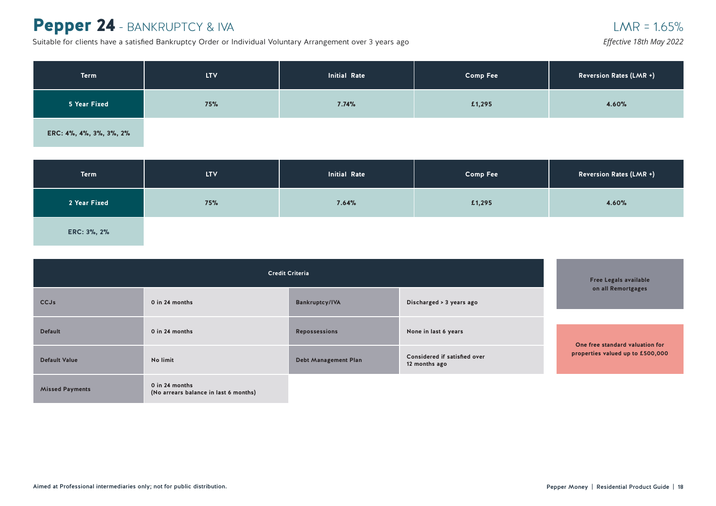### Pepper 24 - BANKRUPTCY & IVA

Suitable for clients have a satisfied Bankruptcy Order or Individual Voluntary Arrangement over 3 years ago

| Term <sup>1</sup>       | LTV. | Initial Rate | <b>Comp Fee</b> | Reversion Rates (LMR +) |
|-------------------------|------|--------------|-----------------|-------------------------|
| 5 Year Fixed            | 75%  | 7.74%        | £1,295          | 4.60%                   |
| ERC: 4%, 4%, 3%, 3%, 2% |      |              |                 |                         |

| <b>Term</b>  | <b>LTV</b> | <b>Initial Rate</b> | <b>Comp Fee</b> | <b>Reversion Rates (LMR +)</b> |
|--------------|------------|---------------------|-----------------|--------------------------------|
| 2 Year Fixed | 75%        | 7.64%               | £1,295          | 4.60%                          |
| ERC: 3%, 2%  |            |                     |                 |                                |

|                        | <b>Free Legals available</b>                            |                             |                                               |                                  |
|------------------------|---------------------------------------------------------|-----------------------------|-----------------------------------------------|----------------------------------|
| <b>CCJs</b>            | 0 in 24 months                                          | <b>Bankruptcy/IVA</b>       | Discharged > 3 years ago                      | on all Remortgages               |
| <b>Default</b>         | 0 in 24 months                                          | <b>Repossessions</b>        | None in last 6 years                          | One free standard valuation for  |
| <b>Default Value</b>   | No limit                                                | <b>Debt Management Plan</b> | Considered if satisfied over<br>12 months ago | properties valued up to £500,000 |
| <b>Missed Payments</b> | 0 in 24 months<br>(No arrears balance in last 6 months) |                             |                                               |                                  |

 $LMR = 1.65%$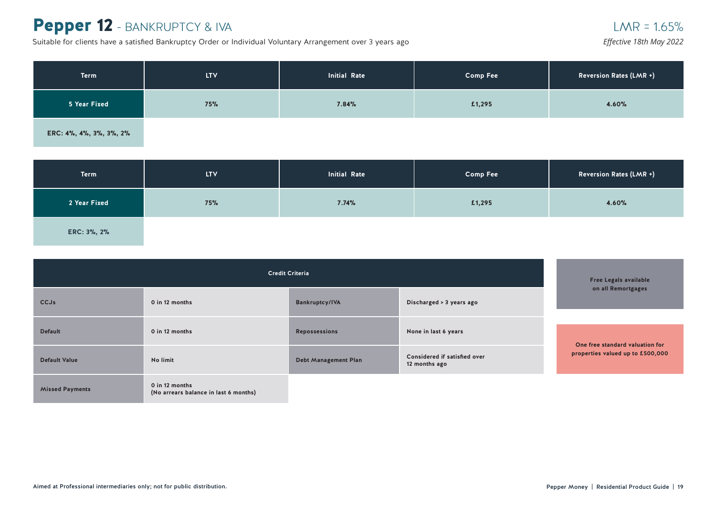### Pepper 12 - BANKRUPTCY & IVA

Suitable for clients have a satisfied Bankruptcy Order or Individual Voluntary Arrangement over 3 years ago

| <b>Term</b>             | <b>LTV</b> | <b>Initial Rate</b> | <b>Comp Fee</b> | Reversion Rates (LMR +) |
|-------------------------|------------|---------------------|-----------------|-------------------------|
| 5 Year Fixed            | 75%        | 7.84%               | £1,295          | 4.60%                   |
| ERC: 4%, 4%, 3%, 3%, 2% |            |                     |                 |                         |

| Term         | <b>LTV</b> | <b>Initial Rate</b> | <b>Comp Fee</b> | <b>Reversion Rates (LMR +)</b> |
|--------------|------------|---------------------|-----------------|--------------------------------|
| 2 Year Fixed | 75%        | 7.74%               | £1,295          | 4.60%                          |
| ERC: 3%, 2%  |            |                     |                 |                                |

| <b>Credit Criteria</b> |                                                         |                             |                                               | <b>Free Legals available</b>                                        |
|------------------------|---------------------------------------------------------|-----------------------------|-----------------------------------------------|---------------------------------------------------------------------|
| <b>CCJs</b>            | 0 in 12 months                                          | <b>Bankruptcy/IVA</b>       | Discharged > 3 years ago                      | on all Remortgages                                                  |
| <b>Default</b>         | 0 in 12 months                                          | <b>Repossessions</b>        | None in last 6 years                          |                                                                     |
| <b>Default Value</b>   | No limit                                                | <b>Debt Management Plan</b> | Considered if satisfied over<br>12 months ago | One free standard valuation for<br>properties valued up to £500,000 |
| <b>Missed Payments</b> | 0 in 12 months<br>(No arrears balance in last 6 months) |                             |                                               |                                                                     |

 $LMR = 1.65%$